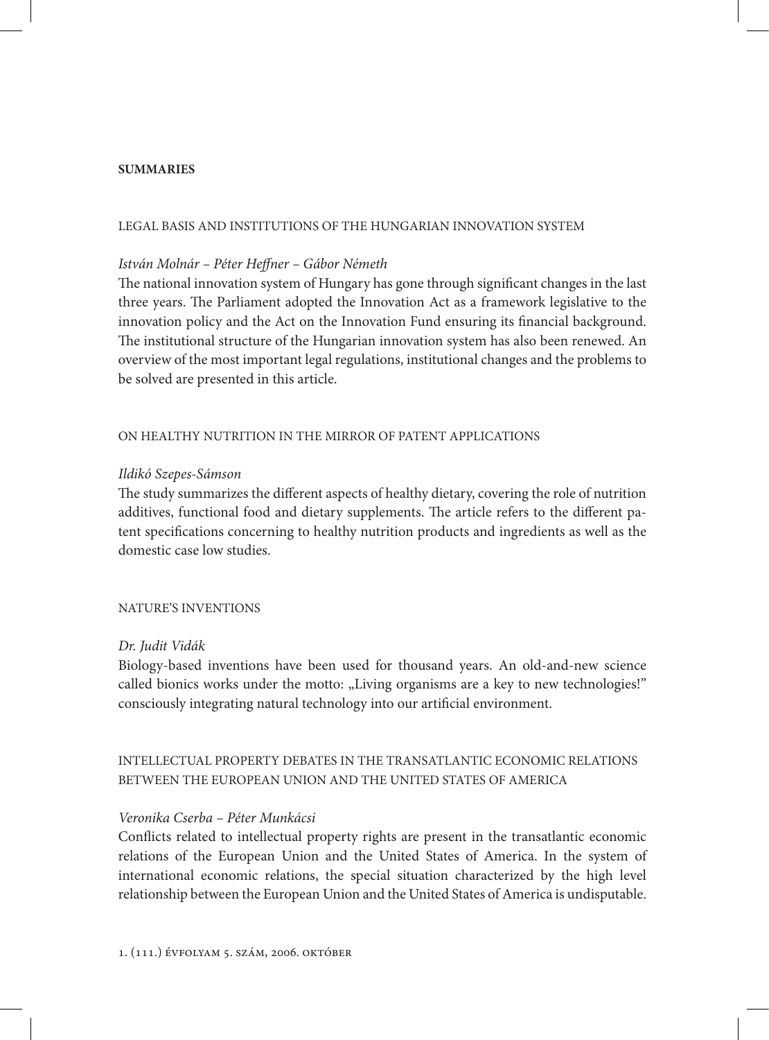### **SUMMARIES**

### LEGAL BASIS AND INSTITUTIONS OF THE HUNGARIAN INNOVATION SYSTEM

### *István Molnár – Péter Heffner – Gábor Németh*

The national innovation system of Hungary has gone through significant changes in the last three years. The Parliament adopted the Innovation Act as a framework legislative to the innovation policy and the Act on the Innovation Fund ensuring its financial background. The institutional structure of the Hungarian innovation system has also been renewed. An overview of the most important legal regulations, institutional changes and the problems to be solved are presented in this article.

## ON HEALTHY NUTRITION IN THE MIRROR OF PATENT APPLICATIONS

#### *Ildikó Szepes-Sámson*

The study summarizes the different aspects of healthy dietary, covering the role of nutrition additives, functional food and dietary supplements. The article refers to the different patent specifications concerning to healthy nutrition products and ingredients as well as the domestic case low studies.

## NATURE'S INVENTIONS

#### *Dr. Judit Vidák*

Biology-based inventions have been used for thousand years. An old-and-new science called bionics works under the motto: "Living organisms are a key to new technologies!" consciously integrating natural technology into our artificial environment.

# INTELLECTUAL PROPERTY DEBATES IN THE TRANSATLANTIC ECONOMIC RELATIONS BETWEEN THE EUROPEAN UNION AND THE UNITED STATES OF AMERICA

### *Veronika Cserba – Péter Munkácsi*

Conflicts related to intellectual property rights are present in the transatlantic economic relations of the European Union and the United States of America. In the system of international economic relations, the special situation characterized by the high level relationship between the European Union and the United States of America is undisputable.